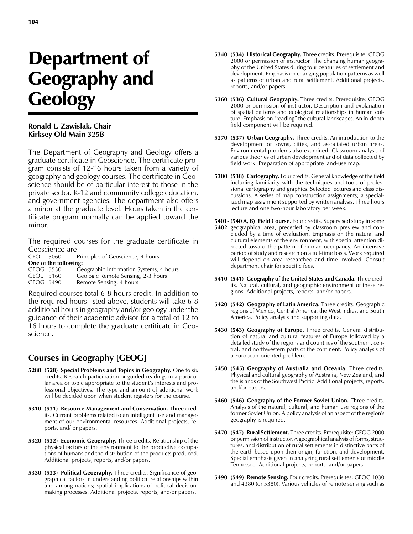## Department of Geography and **Geology**

## **Ronald L. Zawislak, Chair Kirksey Old Main 325B**

The Department of Geography and Geology offers a graduate certificate in Geoscience. The certificate program consists of 12-16 hours taken from a variety of geography and geology courses. The certificate in Geoscience should be of particular interest to those in the private sector, K-12 and community college education, and government agencies. The department also offers a minor at the graduate level. Hours taken in the certificate program normally can be applied toward the minor.

The required courses for the graduate certificate in Geoscience are<br>GEOL 5060

Principles of Geoscience, 4 hours **One of the following:** GEOG 5530 Geographic Information Systems, 4 hours GEOL 5160 Geologic Remote Sensing, 2-3 hours<br>GEOG 5490 Remote Sensing, 4 hours Remote Sensing, 4 hours

Required courses total 6-8 hours credit. In addition to the required hours listed above, students will take 6-8 additional hours in geography and/or geology under the guidance of their academic advisor for a total of 12 to 16 hours to complete the graduate certificate in Geoscience.

## **Courses in Geography [GEOG]**

- **5280 (528) Special Problems and Topics in Geography.** One to six credits. Research participation or guided readings in a particular area or topic appropriate to the student's interests and professional objectives. The type and amount of additional work will be decided upon when student registers for the course.
- **5310 (531) Resource Management and Conservation.** Three credits. Current problems related to an intelligent use and management of our environmental resources. Additional projects, reports, and/ or papers.
- **5320 (532) Economic Geography.** Three credits. Relationship of the physical factors of the environment to the productive occupations of humans and the distribution of the products produced. Additional projects, reports, and/or papers.
- **5330 (533) Political Geography.** Three credits. Significance of geographical factors in understanding political relationships within and among nations; spatial implications of political decisionmaking processes. Additional projects, reports, and/or papers.
- **5340 (534) Historical Geography.** Three credits. Prerequisite: GEOG 2000 or permission of instructor. The changing human geography of the United States during four centuries of settlement and development. Emphasis on changing population patterns as well as patterns of urban and rural settlement. Additional projects, reports, and/or papers.
- **5360 (536) Cultural Geography.** Three credits. Prerequisite: GEOG 2000 or permission of instructor. Description and explanation of spatial patterns and ecological relationships in human culture. Emphasis on "reading" the cultural landscapes. An in-depth field component will be required.
- **5370 (537) Urban Geography.** Three credits. An introduction to the development of towns, cities, and associated urban areas. Environmental problems also examined. Classroom analysis of various theories of urban development and of data collected by field work. Preparation of appropriate land-use map.
- **5380 (538) Cartography.** Four credits. General knowledge of the field including familiarity with the techniques and tools of professional cartography and graphics. Selected lectures and class discussions. A series of map construction assignments; a specialized map assignment supported by written analysis. Three hours lecture and one two-hour laboratory per week.

**5401- (540 A, B) Field Course.** Four credits. Supervised study in some

- **5402** geographical area, preceded by classroom preview and concluded by a time of evaluation. Emphasis on the natural and cultural elements of the environment, with special attention directed toward the pattern of human occupancy. An intensive period of study and research on a full-time basis. Work required will depend on area researched and time involved. Consult department chair for specific fees.
- **5410 (541) Geography of the United States and Canada.** Three credits. Natural, cultural, and geographic environment of these regions. Additional projects, reports, and/or papers.
- **5420 (542) Geography of Latin America.** Three credits. Geographic regions of Mexico, Central America, the West Indies, and South America. Policy analysis and supporting data.
- **5430 (543) Geography of Europe.** Three credits. General distribution of natural and cultural features of Europe followed by a detailed study of the regions and countries of the southern, central, and northwestern parts of the continent. Policy analysis of a European-oriented problem.
- **5450 (545) Geography of Australia and Oceania.** Three credits. Physical and cultural geography of Australia, New Zealand, and the islands of the Southwest Pacific. Additional projects, reports, and/or papers.
- **5460 (546) Geography of the Former Soviet Union.** Three credits. Analysis of the natural, cultural, and human use regions of the former Soviet Union. A policy analysis of an aspect of the region's geography is required.
- **5470 (547) Rural Settlement.** Three credits. Prerequisite: GEOG 2000 or permission of instructor. A geographical analysis of forms, structures, and distribution of rural settlements in distinctive parts of the earth based upon their origin, function, and development. Special emphasis given in analyzing rural settlements of middle Tennessee. Additional projects, reports, and/or papers.
- **5490 (549) Remote Sensing.** Four credits. Prerequisites: GEOG 1030 and 4380 (or 5380). Various vehicles of remote sensing such as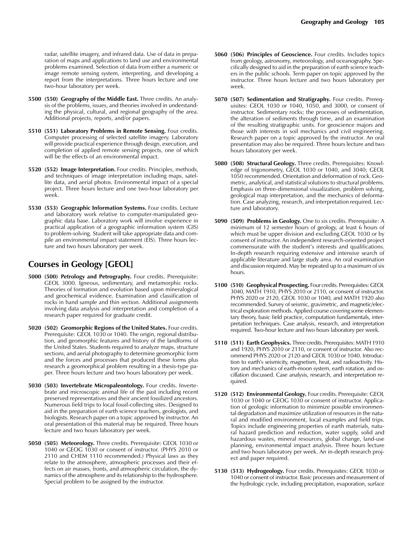radar, satellite imagery, and infrared data. Use of data in preparation of maps and applications to land use and environmental problems examined. Selection of data from either a numeric or image remote sensing system, interpreting, and developing a report from the interpretations. Three hours lecture and one two-hour laboratory per week.

- **5500 (550) Geography of the Middle East.** Three credits. An analysis of the problems, issues, and theories involved in understanding the physical, cultural, and regional geography of the area. Additional projects, reports, and/or papers.
- **5510 (551) Laboratory Problems in Remote Sensing.** Four credits. Computer processing of selected satellite imagery. Laboratory will provide practical experience through design, execution, and completion of applied remote sensing projects, one of which will be the effects of an environmental impact.
- **5520 (552) Image Interpretation.** Four credits. Principles, methods, and techniques of image interpretation including maps, satellite data, and aerial photos. Environmental impact of a special project. Three hours lecture and one two-hour laboratory per week.
- **5530 (553) Geographic Information Systems.** Four credits. Lecture and laboratory work relative to computer-manipulated geographic data base. Laboratory work will involve experience in practical application of a geographic information system (GIS) to problem-solving. Student will take appropriate data and compile an environmental impact statement (EIS). Three hours lecture and two hours laboratory per week.

## **Courses in Geology [GEOL]**

- **5000 (500) Petrology and Petrography.** Four credits. Prerequisite: GEOL 3000. Igneous, sedimentary, and metamorphic rocks. Theories of formation and evolution based upon mineralogical and geochemical evidence. Examination and classification of rocks in hand sample and thin section. Additional assignments involving data analysis and interpretation and completion of a research paper required for graduate credit.
- **5020 (502) Geomorphic Regions of the United States.** Four credits. Prerequisite: GEOL 1030 or 1040. The origin, regional distribution, and geomorphic features and history of the landforms of the United States. Students required to analyze maps, structure sections, and aerial photography to determine geomorphic form and the forces and processes that produced these forms plus research a geomorphical problem resulting in a thesis-type paper. Three hours lecture and two hours laboratory per week.
- **5030 (503) Invertebrate Micropaleontology.** Four credits. Invertebrate and microscopic animal life of the past including recent preserved representatives and their ancient fossilized ancestors. Numerous field trips to local fossil-collecting sites. Designed to aid in the preparation of earth science teachers, geologists, and biologists. Research paper on a topic approved by instructor. An oral presentation of this material may be required. Three hours lecture and two hours laboratory per week.
- **5050 (505) Meteorology.** Three credits. Prerequisite: GEOL 1030 or 1040 or GEOG 1030 or consent of instructor. (PHYS 2010 or 2110 and CHEM 1110 recommended.) Physical laws as they relate to the atmosphere, atmospheric processes and their effects on air masses, fronts, and atmospheric circulation, the dynamics of the atmosphere and its relationship to the hydrosphere. Special problem to be assigned by the instructor.
- **5060 (506) Principles of Geoscience.** Four credits. Includes topics from geology, astronomy, meteorology, and oceanography. Specifically designed to aid in the preparation of earth science teachers in the public schools. Term paper on topic approved by the instructor. Three hours lecture and two hours laboratory per week.
- **5070 (507) Sedimentation and Stratigraphy.** Four credits. Prerequisites: GEOL 1030 or 1040, 1050, and 3000, or consent of instructor. Sedimentary rocks; the processes of sedimentation, the alteration of sediments through time, and an examination of the resulting stratigraphic units. For geoscience majors and those with interests in soil mechanics and civil engineering. Research paper on a topic approved by the instructor. An oral presentation may also be required. Three hours lecture and two hours laboratory per week.
- **5080 (508) Structural Geology.** Three credits. Prerequisites: Knowledge of trigonometry, GEOL 1030 or 1040, and 3040; GEOL 1050 recommended. Orientation and deformation of rock. Geometric, analytical, and statistical solutions to structural problems. Emphasis on three-dimensional visualization, problem solving, geological map interpretation, and the mechanics of deformation. Case analyzing, research, and interpretation required. Lecture and laboratory.
- **5090 (509) Problems in Geology.** One to six credits. Prerequisite: A minimum of 12 semester hours of geology, at least 6 hours of which must be upper division and excluding GEOL 1030 or by consent of instructor. An independent research-oriented project commensurate with the student's interests and qualifications. In-depth research requiring extensive and intensive search of applicable literature and large study area. An oral examination and discussion required. May be repeated up to a maximum of six hours.
- **5100 (510) Geophysical Prospecting.** Four credits. Prerequisites: GEOL 3040, MATH 1910, PHYS 2010 or 2110, or consent of instructor. PHYS 2020 or 2120, GEOL 1030 or 1040, and MATH 1920 also recommended. Survey of seismic, gravimetric, and magnetic/electrical exploration methods. Applied course covering some elementary theory, basic field practice, computation fundamentals, interpretation techniques. Case analysis, research, and interpretation required. Two-hour lecture and two hours laboratory per week.
- **5110 (511) Earth Geophysics.** Three credits. Prerequisites: MATH 1910 and 1920, PHYS 2010 or 2110, or consent of instructor. Also recommend PHYS 2020 or 2120 and GEOL 1030 or 1040. Introduction to earth's seismicity, magnetism, heat, and radioactivity. History and mechanics of earth-moon system, earth rotation, and oscillation discussed. Case analysis, research, and interpretation required.
- **5120 (512) Environmental Geology.** Four credits. Prerequisite: GEOL 1030 or 1040 or GEOG 1030 or consent of instructor. Application of geologic information to minimize possible environmental degradation and maximize utilization of resources in the natural and modified environment, local examples and field trips. Topics include engineering properties of earth materials, natural hazard prediction and reduction, water supply, solid and hazardous wastes, mineral resources, global change, land-use planning, environmental impact analysis. Three hours lecture and two hours laboratory per week. An in-depth research project and paper required.
- **5130 (513) Hydrogeology.** Four credits. Prerequisites: GEOL 1030 or 1040 or consent of instructor. Basic processes and measurement of the hydrologic cycle, including precipitation, evaporation, surface